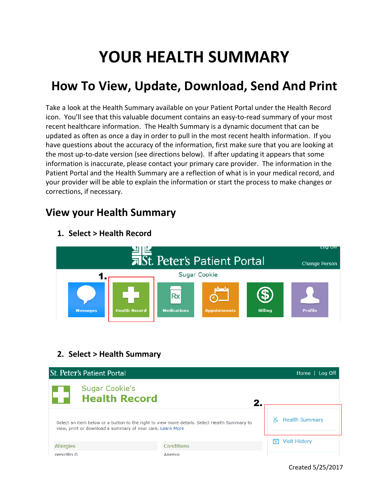# **YOUR HEALTH SUMMARY**

## **How To View, Update, Download, Send And Print**

Take a look at the Health Summary available on your Patient Portal under the Health Record icon. You'll see that this valuable document contains an easy-to-read summary of your most recent healthcare information. The Health Summary is a dynamic document that can be updated as often as once a day in order to pull in the most recent health information. If you have questions about the accuracy of the information, first make sure that you are looking at the most up-to-date version (see directions below). If after updating it appears that some information is inaccurate, please contact your primary care provider. The information in the Patient Portal and the Health Summary are a reflection of what is in your medical record, and your provider will be able to explain the information or start the process to make changes or corrections, if necessary.

### **View your Health Summary**



#### **1. Select > Health Record**

#### **2. Select > Health Summary**

| <b>St. Peter's Patient Portal</b><br>Home   Log Off                                                                                                        |            |                           |  |  |
|------------------------------------------------------------------------------------------------------------------------------------------------------------|------------|---------------------------|--|--|
| <b>Sugar Cookie's</b><br><b>Health Record</b>                                                                                                              | 2.         |                           |  |  |
| Select an item below or a button to the right to view more details. Select Health Summary to<br>view, print or download a summary of your care. Learn More |            | <b>Health Summary</b>     |  |  |
| Allergies                                                                                                                                                  | Conditions | m<br><b>Visit History</b> |  |  |
| nenicillin G                                                                                                                                               | Anemia     |                           |  |  |

Created 5/25/2017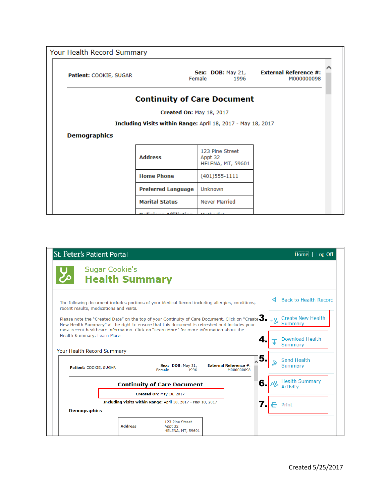| Your Health Record Summary |                                                              |                                                        |                                            |
|----------------------------|--------------------------------------------------------------|--------------------------------------------------------|--------------------------------------------|
| Patient: COOKIE, SUGAR     |                                                              | Sex: $DOB:$ May 21,<br>Female<br>1996                  | <b>External Reference #:</b><br>M000000098 |
|                            | <b>Continuity of Care Document</b>                           |                                                        |                                            |
|                            | <b>Created On: May 18, 2017</b>                              |                                                        |                                            |
|                            | Including Visits within Range: April 18, 2017 - May 18, 2017 |                                                        |                                            |
| <b>Demographics</b>        |                                                              |                                                        |                                            |
|                            | <b>Address</b>                                               | 123 Pine Street<br>Appt 32<br><b>HELENA, MT, 59601</b> |                                            |
|                            | <b>Home Phone</b>                                            | $(401)$ 555-1111                                       |                                            |
|                            | <b>Preferred Language</b>                                    | Unknown                                                |                                            |
|                            | <b>Marital Status</b>                                        | <b>Never Married</b>                                   |                                            |
|                            | Deligious Affiliation Mathodist                              |                                                        |                                            |

| St. Peter's Patient Portal                                                                                                                                                                                                                                                                                        |                                                |                                                                                                  |                                            |    | Log Off<br>Home                                   |
|-------------------------------------------------------------------------------------------------------------------------------------------------------------------------------------------------------------------------------------------------------------------------------------------------------------------|------------------------------------------------|--------------------------------------------------------------------------------------------------|--------------------------------------------|----|---------------------------------------------------|
| مح                                                                                                                                                                                                                                                                                                                | <b>Sugar Cookie's</b><br><b>Health Summary</b> |                                                                                                  |                                            |    |                                                   |
| recent results, medications and visits.                                                                                                                                                                                                                                                                           |                                                | The following document includes portions of your Medical Record including allergies, conditions, |                                            |    | <b>Back to Health Record</b>                      |
| Please note the "Created Date" on the top of your Continuity of Care Document. Click on "Create $\blacktriangleright$<br>New Health Summary" at the right to ensure that this document is refreshed and includes your<br>most recent healthcare information. Click on "Learn More" for more information about the |                                                |                                                                                                  |                                            |    | <b>Create New Health</b><br>−ہل<br><b>Summary</b> |
| Health Summary. Learn More<br>4<br>Your Health Record Summary                                                                                                                                                                                                                                                     |                                                |                                                                                                  |                                            |    | Download Health<br>Summary                        |
| Patient: COOKIE, SUGAR                                                                                                                                                                                                                                                                                            |                                                | <b>Sex: DOB: May 21,</b><br>Female<br>1996                                                       | <b>External Reference #:</b><br>M000000098 | 5. | Send Health<br><b>Summary</b>                     |
| 6.<br><b>Continuity of Care Document</b>                                                                                                                                                                                                                                                                          |                                                |                                                                                                  | <b>Health Summary</b><br><b>Activity</b>   |    |                                                   |
|                                                                                                                                                                                                                                                                                                                   |                                                | Created On: May 18, 2017<br>Including Visits within Range: April 18, 2017 - May 18, 2017         |                                            |    |                                                   |
| <b>Demographics</b>                                                                                                                                                                                                                                                                                               |                                                |                                                                                                  |                                            |    | Print                                             |
|                                                                                                                                                                                                                                                                                                                   | <b>Address</b>                                 | 123 Pine Street<br>Appt 32<br><b>HELENA, MT, 59601</b>                                           |                                            |    |                                                   |